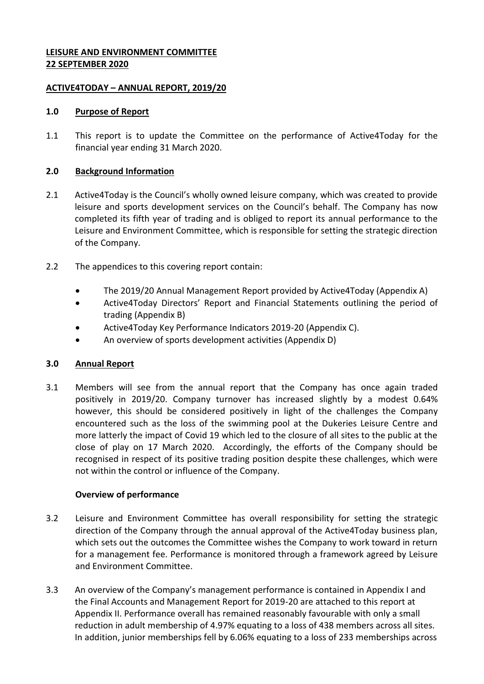### **LEISURE AND ENVIRONMENT COMMITTEE 22 SEPTEMBER 2020**

### **ACTIVE4TODAY – ANNUAL REPORT, 2019/20**

### **1.0 Purpose of Report**

1.1 This report is to update the Committee on the performance of Active4Today for the financial year ending 31 March 2020.

### **2.0 Background Information**

- 2.1 Active4Today is the Council's wholly owned leisure company, which was created to provide leisure and sports development services on the Council's behalf. The Company has now completed its fifth year of trading and is obliged to report its annual performance to the Leisure and Environment Committee, which is responsible for setting the strategic direction of the Company.
- 2.2 The appendices to this covering report contain:
	- The 2019/20 Annual Management Report provided by Active4Today (Appendix A)
	- Active4Today Directors' Report and Financial Statements outlining the period of trading (Appendix B)
	- Active4Today Key Performance Indicators 2019-20 (Appendix C).
	- An overview of sports development activities (Appendix D)

# **3.0 Annual Report**

3.1 Members will see from the annual report that the Company has once again traded positively in 2019/20. Company turnover has increased slightly by a modest 0.64% however, this should be considered positively in light of the challenges the Company encountered such as the loss of the swimming pool at the Dukeries Leisure Centre and more latterly the impact of Covid 19 which led to the closure of all sites to the public at the close of play on 17 March 2020. Accordingly, the efforts of the Company should be recognised in respect of its positive trading position despite these challenges, which were not within the control or influence of the Company.

# **Overview of performance**

- 3.2 Leisure and Environment Committee has overall responsibility for setting the strategic direction of the Company through the annual approval of the Active4Today business plan, which sets out the outcomes the Committee wishes the Company to work toward in return for a management fee. Performance is monitored through a framework agreed by Leisure and Environment Committee.
- 3.3 An overview of the Company's management performance is contained in Appendix I and the Final Accounts and Management Report for 2019-20 are attached to this report at Appendix II. Performance overall has remained reasonably favourable with only a small reduction in adult membership of 4.97% equating to a loss of 438 members across all sites. In addition, junior memberships fell by 6.06% equating to a loss of 233 memberships across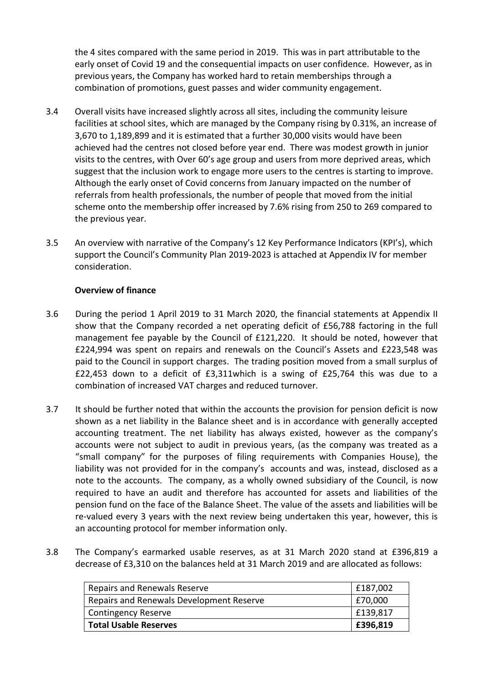the 4 sites compared with the same period in 2019. This was in part attributable to the early onset of Covid 19 and the consequential impacts on user confidence. However, as in previous years, the Company has worked hard to retain memberships through a combination of promotions, guest passes and wider community engagement.

- 3.4 Overall visits have increased slightly across all sites, including the community leisure facilities at school sites, which are managed by the Company rising by 0.31%, an increase of 3,670 to 1,189,899 and it is estimated that a further 30,000 visits would have been achieved had the centres not closed before year end. There was modest growth in junior visits to the centres, with Over 60's age group and users from more deprived areas, which suggest that the inclusion work to engage more users to the centres is starting to improve. Although the early onset of Covid concerns from January impacted on the number of referrals from health professionals, the number of people that moved from the initial scheme onto the membership offer increased by 7.6% rising from 250 to 269 compared to the previous year.
- 3.5 An overview with narrative of the Company's 12 Key Performance Indicators (KPI's), which support the Council's Community Plan 2019-2023 is attached at Appendix IV for member consideration.

# **Overview of finance**

- 3.6 During the period 1 April 2019 to 31 March 2020, the financial statements at Appendix II show that the Company recorded a net operating deficit of £56,788 factoring in the full management fee payable by the Council of £121,220. It should be noted, however that £224,994 was spent on repairs and renewals on the Council's Assets and £223,548 was paid to the Council in support charges. The trading position moved from a small surplus of £22,453 down to a deficit of £3,311which is a swing of £25,764 this was due to a combination of increased VAT charges and reduced turnover.
- 3.7 It should be further noted that within the accounts the provision for pension deficit is now shown as a net liability in the Balance sheet and is in accordance with generally accepted accounting treatment. The net liability has always existed, however as the company's accounts were not subject to audit in previous years, (as the company was treated as a "small company" for the purposes of filing requirements with Companies House), the liability was not provided for in the company's accounts and was, instead, disclosed as a note to the accounts. The company, as a wholly owned subsidiary of the Council, is now required to have an audit and therefore has accounted for assets and liabilities of the pension fund on the face of the Balance Sheet. The value of the assets and liabilities will be re-valued every 3 years with the next review being undertaken this year, however, this is an accounting protocol for member information only.
- 3.8 The Company's earmarked usable reserves, as at 31 March 2020 stand at £396,819 a decrease of £3,310 on the balances held at 31 March 2019 and are allocated as follows:

| <b>Total Usable Reserves</b>             | E396,819     |
|------------------------------------------|--------------|
| <b>Contingency Reserve</b>               | $ $ £139,817 |
| Repairs and Renewals Development Reserve | £70,000      |
| Repairs and Renewals Reserve             | £187,002     |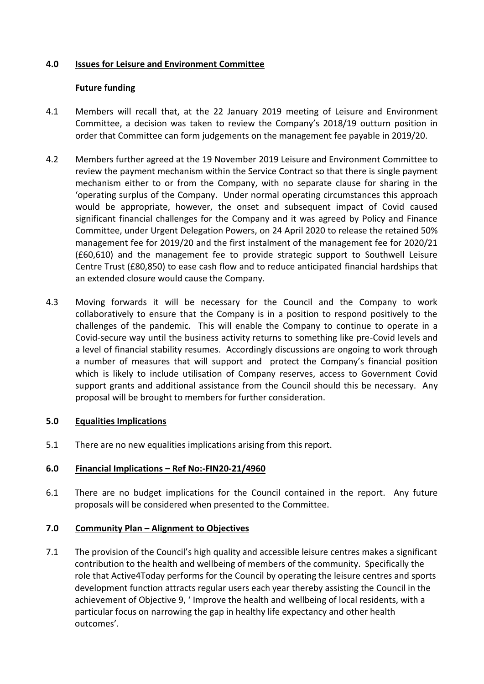### **4.0 Issues for Leisure and Environment Committee**

### **Future funding**

- 4.1 Members will recall that, at the 22 January 2019 meeting of Leisure and Environment Committee, a decision was taken to review the Company's 2018/19 outturn position in order that Committee can form judgements on the management fee payable in 2019/20.
- 4.2 Members further agreed at the 19 November 2019 Leisure and Environment Committee to review the payment mechanism within the Service Contract so that there is single payment mechanism either to or from the Company, with no separate clause for sharing in the 'operating surplus of the Company. Under normal operating circumstances this approach would be appropriate, however, the onset and subsequent impact of Covid caused significant financial challenges for the Company and it was agreed by Policy and Finance Committee, under Urgent Delegation Powers, on 24 April 2020 to release the retained 50% management fee for 2019/20 and the first instalment of the management fee for 2020/21 (£60,610) and the management fee to provide strategic support to Southwell Leisure Centre Trust (£80,850) to ease cash flow and to reduce anticipated financial hardships that an extended closure would cause the Company.
- 4.3 Moving forwards it will be necessary for the Council and the Company to work collaboratively to ensure that the Company is in a position to respond positively to the challenges of the pandemic. This will enable the Company to continue to operate in a Covid-secure way until the business activity returns to something like pre-Covid levels and a level of financial stability resumes. Accordingly discussions are ongoing to work through a number of measures that will support and protect the Company's financial position which is likely to include utilisation of Company reserves, access to Government Covid support grants and additional assistance from the Council should this be necessary. Any proposal will be brought to members for further consideration.

### **5.0 Equalities Implications**

5.1 There are no new equalities implications arising from this report.

### **6.0 Financial Implications – Ref No:-FIN20-21/4960**

6.1 There are no budget implications for the Council contained in the report. Any future proposals will be considered when presented to the Committee.

### **7.0 Community Plan – Alignment to Objectives**

7.1 The provision of the Council's high quality and accessible leisure centres makes a significant contribution to the health and wellbeing of members of the community. Specifically the role that Active4Today performs for the Council by operating the leisure centres and sports development function attracts regular users each year thereby assisting the Council in the achievement of Objective 9, ' Improve the health and wellbeing of local residents, with a particular focus on narrowing the gap in healthy life expectancy and other health outcomes'.